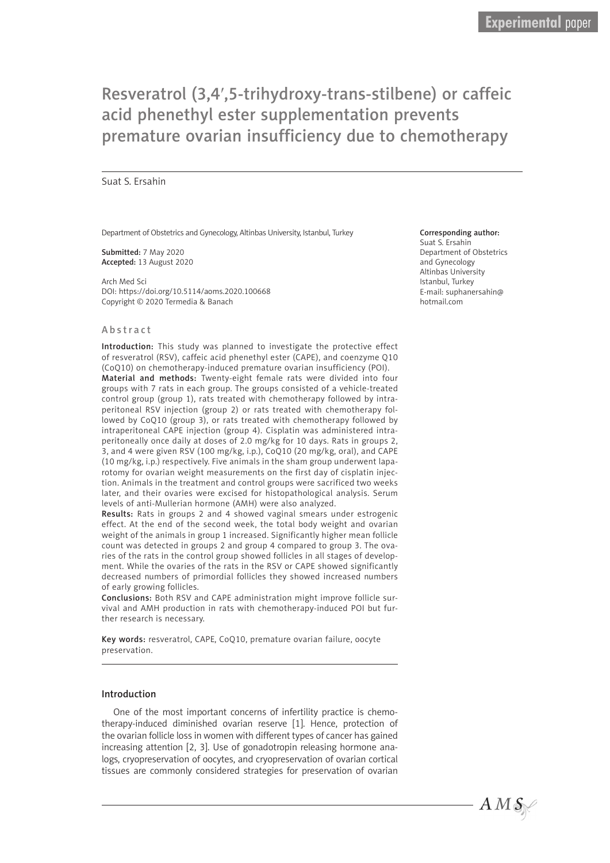# Resveratrol (3,4ʹ,5-trihydroxy-trans-stilbene) or caffeic acid phenethyl ester supplementation prevents premature ovarian insufficiency due to chemotherapy

#### Suat S. Ersahin

Department of Obstetrics and Gynecology, Altinbas University, Istanbul, Turkey

Submitted: 7 May 2020 Accepted: 13 August 2020

Arch Med Sci DOI: https://doi.org/10.5114/aoms.2020.100668 Copyright © 2020 Termedia & Banach

#### Abstract

Introduction: This study was planned to investigate the protective effect of resveratrol (RSV), caffeic acid phenethyl ester (CAPE), and coenzyme Q10 (CoQ10) on chemotherapy-induced premature ovarian insufficiency (POI). Material and methods: Twenty-eight female rats were divided into four groups with 7 rats in each group. The groups consisted of a vehicle-treated control group (group 1), rats treated with chemotherapy followed by intraperitoneal RSV injection (group 2) or rats treated with chemotherapy followed by CoQ10 (group 3), or rats treated with chemotherapy followed by intraperitoneal CAPE injection (group 4). Cisplatin was administered intraperitoneally once daily at doses of 2.0 mg/kg for 10 days. Rats in groups 2, 3, and 4 were given RSV (100 mg/kg, i.p.), CoQ10 (20 mg/kg, oral), and CAPE (10 mg/kg, i.p.) respectively. Five animals in the sham group underwent laparotomy for ovarian weight measurements on the first day of cisplatin injection. Animals in the treatment and control groups were sacrificed two weeks later, and their ovaries were excised for histopathological analysis. Serum levels of anti-Mullerian hormone (AMH) were also analyzed.

Results: Rats in groups 2 and 4 showed vaginal smears under estrogenic effect. At the end of the second week, the total body weight and ovarian weight of the animals in group 1 increased. Significantly higher mean follicle count was detected in groups 2 and group 4 compared to group 3. The ovaries of the rats in the control group showed follicles in all stages of development. While the ovaries of the rats in the RSV or CAPE showed significantly decreased numbers of primordial follicles they showed increased numbers of early growing follicles.

Conclusions: Both RSV and CAPE administration might improve follicle survival and AMH production in rats with chemotherapy-induced POI but further research is necessary.

Key words: resveratrol, CAPE, CoQ10, premature ovarian failure, oocyte preservation.

## Introduction

One of the most important concerns of infertility practice is chemotherapy-induced diminished ovarian reserve [1]. Hence, protection of the ovarian follicle loss in women with different types of cancer has gained increasing attention [2, 3]. Use of gonadotropin releasing hormone analogs, cryopreservation of oocytes, and cryopreservation of ovarian cortical tissues are commonly considered strategies for preservation of ovarian

#### Corresponding author:

Suat S. Ersahin Department of Obstetrics and Gynecology Altinbas University Istanbul, Turkey E-mail: suphanersahin@ hotmail.com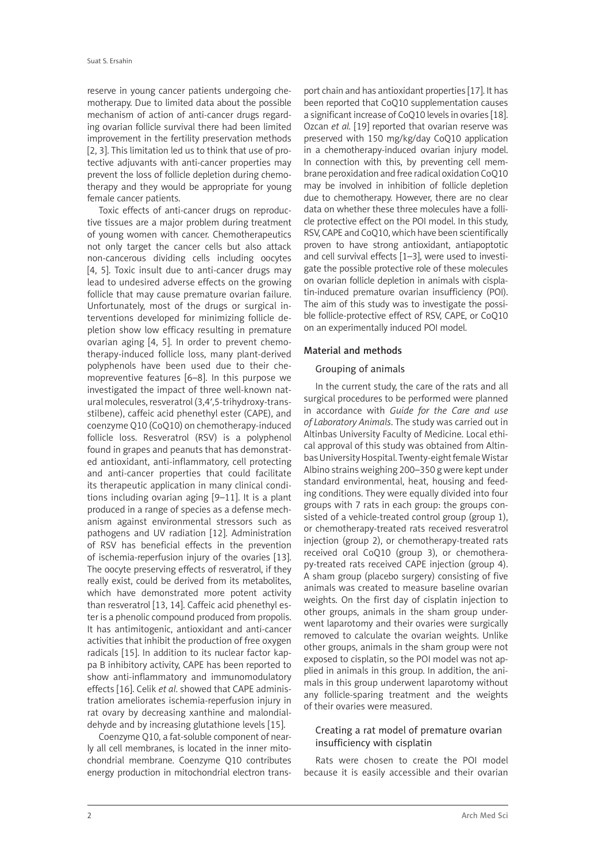reserve in young cancer patients undergoing chemotherapy. Due to limited data about the possible mechanism of action of anti-cancer drugs regarding ovarian follicle survival there had been limited improvement in the fertility preservation methods [2, 3]. This limitation led us to think that use of protective adjuvants with anti-cancer properties may prevent the loss of follicle depletion during chemotherapy and they would be appropriate for young female cancer patients.

Toxic effects of anti-cancer drugs on reproductive tissues are a major problem during treatment of young women with cancer. Chemotherapeutics not only target the cancer cells but also attack non-cancerous dividing cells including oocytes [4, 5]. Toxic insult due to anti-cancer drugs may lead to undesired adverse effects on the growing follicle that may cause premature ovarian failure. Unfortunately, most of the drugs or surgical interventions developed for minimizing follicle depletion show low efficacy resulting in premature ovarian aging [4, 5]. In order to prevent chemotherapy-induced follicle loss, many plant-derived polyphenols have been used due to their chemopreventive features [6–8]. In this purpose we investigated the impact of three well-known natural molecules, resveratrol (3,4ʹ,5-trihydroxy-transstilbene), caffeic acid phenethyl ester (CAPE), and coenzyme Q10 (CoQ10) on chemotherapy-induced follicle loss. Resveratrol (RSV) is a polyphenol found in grapes and peanuts that has demonstrated antioxidant, anti-inflammatory, cell protecting and anti-cancer properties that could facilitate its therapeutic application in many clinical conditions including ovarian aging [9–11]. It is a plant produced in a range of species as a defense mechanism against environmental stressors such as pathogens and UV radiation [12]. Administration of RSV has beneficial effects in the prevention of ischemia-reperfusion injury of the ovaries [13]. The oocyte preserving effects of resveratrol, if they really exist, could be derived from its metabolites, which have demonstrated more potent activity than resveratrol [13, 14]. Caffeic acid phenethyl ester is a phenolic compound produced from propolis. It has antimitogenic, antioxidant and anti-cancer activities that inhibit the production of free oxygen radicals [15]. In addition to its nuclear factor kappa B inhibitory activity, CAPE has been reported to show anti-inflammatory and immunomodulatory effects [16]. Celik *et al*. showed that CAPE administration ameliorates ischemia-reperfusion injury in rat ovary by decreasing xanthine and malondialdehyde and by increasing glutathione levels [15].

Coenzyme Q10, a fat-soluble component of nearly all cell membranes, is located in the inner mitochondrial membrane. Coenzyme Q10 contributes energy production in mitochondrial electron trans-

port chain and has antioxidant properties [17]. It has been reported that CoQ10 supplementation causes a significant increase of CoQ10 levels in ovaries [18]. Ozcan *et al.* [19] reported that ovarian reserve was preserved with 150 mg/kg/day CoQ10 application in a chemotherapy-induced ovarian injury model. In connection with this, by preventing cell membrane peroxidation and free radical oxidation CoQ10 may be involved in inhibition of follicle depletion due to chemotherapy. However, there are no clear data on whether these three molecules have a follicle protective effect on the POI model. In this study, RSV, CAPE and CoQ10, which have been scientifically proven to have strong antioxidant, antiapoptotic and cell survival effects [1–3], were used to investigate the possible protective role of these molecules on ovarian follicle depletion in animals with cisplatin-induced premature ovarian insufficiency (POI). The aim of this study was to investigate the possible follicle-protective effect of RSV, CAPE, or CoQ10 on an experimentally induced POI model.

# Material and methods

# Grouping of animals

In the current study, the care of the rats and all surgical procedures to be performed were planned in accordance with *Guide for the Care and use of Laboratory Animals*. The study was carried out in Altinbas University Faculty of Medicine. Local ethical approval of this study was obtained from Altinbas University Hospital. Twenty-eight female Wistar Albino strains weighing 200–350 g were kept under standard environmental, heat, housing and feeding conditions. They were equally divided into four groups with 7 rats in each group: the groups consisted of a vehicle-treated control group (group 1), or chemotherapy-treated rats received resveratrol injection (group 2), or chemotherapy-treated rats received oral CoQ10 (group 3), or chemotherapy-treated rats received CAPE injection (group 4). A sham group (placebo surgery) consisting of five animals was created to measure baseline ovarian weights. On the first day of cisplatin injection to other groups, animals in the sham group underwent laparotomy and their ovaries were surgically removed to calculate the ovarian weights. Unlike other groups, animals in the sham group were not exposed to cisplatin, so the POI model was not applied in animals in this group. In addition, the animals in this group underwent laparotomy without any follicle-sparing treatment and the weights of their ovaries were measured.

# Creating a rat model of premature ovarian insufficiency with cisplatin

Rats were chosen to create the POI model because it is easily accessible and their ovarian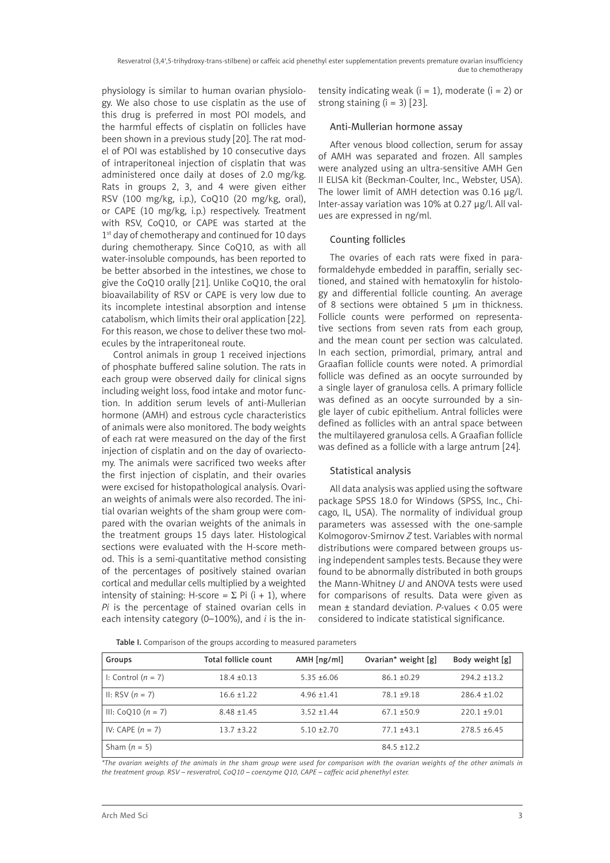Resveratrol (3,4ʹ,5-trihydroxy-trans-stilbene) or caffeic acid phenethyl ester supplementation prevents premature ovarian insufficiency due to chemotherapy

physiology is similar to human ovarian physiology. We also chose to use cisplatin as the use of this drug is preferred in most POI models, and the harmful effects of cisplatin on follicles have been shown in a previous study [20]. The rat model of POI was established by 10 consecutive days of intraperitoneal injection of cisplatin that was administered once daily at doses of 2.0 mg/kg. Rats in groups 2, 3, and 4 were given either RSV (100 mg/kg, i.p.), CoQ10 (20 mg/kg, oral), or CAPE (10 mg/kg, i.p.) respectively. Treatment with RSV, CoQ10, or CAPE was started at the 1<sup>st</sup> day of chemotherapy and continued for 10 days during chemotherapy. Since CoQ10, as with all water-insoluble compounds, has been reported to be better absorbed in the intestines, we chose to give the CoQ10 orally [21]. Unlike CoQ10, the oral bioavailability of RSV or CAPE is very low due to its incomplete intestinal absorption and intense catabolism, which limits their oral application [22]. For this reason, we chose to deliver these two molecules by the intraperitoneal route.

Control animals in group 1 received injections of phosphate buffered saline solution. The rats in each group were observed daily for clinical signs including weight loss, food intake and motor function. In addition serum levels of anti-Mullerian hormone (AMH) and estrous cycle characteristics of animals were also monitored. The body weights of each rat were measured on the day of the first injection of cisplatin and on the day of ovariectomy. The animals were sacrificed two weeks after the first injection of cisplatin, and their ovaries were excised for histopathological analysis. Ovarian weights of animals were also recorded. The initial ovarian weights of the sham group were compared with the ovarian weights of the animals in the treatment groups 15 days later. Histological sections were evaluated with the H-score method. This is a semi-quantitative method consisting of the percentages of positively stained ovarian cortical and medullar cells multiplied by a weighted intensity of staining: H-score =  $\Sigma$  Pi (i + 1), where *Pi* is the percentage of stained ovarian cells in each intensity category (0–100%), and *i* is the intensity indicating weak ( $i = 1$ ), moderate ( $i = 2$ ) or strong staining  $(i = 3)$  [23].

## Anti-Mullerian hormone assay

After venous blood collection, serum for assay of AMH was separated and frozen. All samples were analyzed using an ultra-sensitive AMH Gen II ELISA kit (Beckman-Coulter, Inc., Webster, USA). The lower limit of AMH detection was 0.16 µg/l. Inter-assay variation was 10% at 0.27 µg/l. All values are expressed in ng/ml.

# Counting follicles

The ovaries of each rats were fixed in paraformaldehyde embedded in paraffin, serially sectioned, and stained with hematoxylin for histology and differential follicle counting. An average of 8 sections were obtained 5 µm in thickness. Follicle counts were performed on representative sections from seven rats from each group, and the mean count per section was calculated. In each section, primordial, primary, antral and Graafian follicle counts were noted. A primordial follicle was defined as an oocyte surrounded by a single layer of granulosa cells. A primary follicle was defined as an oocyte surrounded by a single layer of cubic epithelium. Antral follicles were defined as follicles with an antral space between the multilayered granulosa cells. A Graafian follicle was defined as a follicle with a large antrum [24].

# Statistical analysis

All data analysis was applied using the software package SPSS 18.0 for Windows (SPSS, Inc., Chicago, IL, USA). The normality of individual group parameters was assessed with the one-sample Kolmogorov-Smirnov *Z* test. Variables with normal distributions were compared between groups using independent samples tests. Because they were found to be abnormally distributed in both groups the Mann-Whitney *U* and ANOVA tests were used for comparisons of results. Data were given as mean ± standard deviation. *P-*values < 0.05 were considered to indicate statistical significance.

| Table I. Comparison of the groups according to measured parameters |  |  |
|--------------------------------------------------------------------|--|--|

| Groups                | Total follicle count | $AMH$ [ng/ml]   | Ovarian* weight [g] | Body weight [g]  |
|-----------------------|----------------------|-----------------|---------------------|------------------|
| I: Control $(n = 7)$  | $18.4 \pm 0.13$      | $5.35 + 6.06$   | $86.1 \pm 0.29$     | $294.2 \pm 13.2$ |
| II: RSV $(n = 7)$     | $16.6 \pm 1.22$      | $4.96 \pm 1.41$ | $78.1 + 9.18$       | $286.4 \pm 1.02$ |
| III: Co $010 (n = 7)$ | $8.48 \pm 1.45$      | $3.52 + 1.44$   | $67.1 + 50.9$       | $220.1 + 9.01$   |
| IV: CAPE $(n = 7)$    | $13.7 + 3.22$        | $5.10 + 2.70$   | $77.1 + 43.1$       | $278.5 + 6.45$   |
| Sham $(n = 5)$        |                      |                 | $84.5 + 12.2$       |                  |

*\*The ovarian weights of the animals in the sham group were used for comparison with the ovarian weights of the other animals in the treatment group. RSV – resveratrol, CoQ10 – coenzyme Q10, CAPE – caffeic acid phenethyl ester.*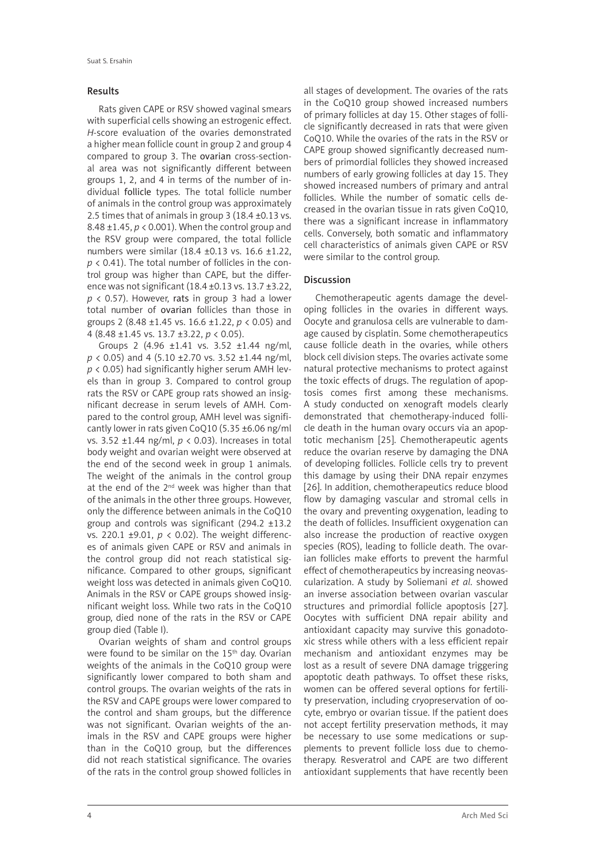## Results

Rats given CAPE or RSV showed vaginal smears with superficial cells showing an estrogenic effect. *H*-score evaluation of the ovaries demonstrated a higher mean follicle count in group 2 and group 4 compared to group 3. The ovarian cross-sectional area was not significantly different between groups 1, 2, and 4 in terms of the number of individual follicle types. The total follicle number of animals in the control group was approximately 2.5 times that of animals in group 3 (18.4 ±0.13 vs. 8.48 ±1.45, *p* < 0.001). When the control group and the RSV group were compared, the total follicle numbers were similar (18.4 ±0.13 vs. 16.6 ±1.22, *p* < 0.41). The total number of follicles in the control group was higher than CAPE, but the difference was not significant (18.4 ±0.13 vs. 13.7 ±3.22,  $p$  < 0.57). However, rats in group 3 had a lower total number of ovarian follicles than those in groups 2 (8.48 ±1.45 vs. 16.6 ±1.22, *p* < 0.05) and 4 (8.48 ±1.45 vs. 13.7 ±3.22, *p* < 0.05).

Groups 2 (4.96 ±1.41 vs. 3.52 ±1.44 ng/ml, *p* < 0.05) and 4 (5.10 ±2.70 vs. 3.52 ±1.44 ng/ml, *p* < 0.05) had significantly higher serum AMH levels than in group 3. Compared to control group rats the RSV or CAPE group rats showed an insignificant decrease in serum levels of AMH. Compared to the control group, AMH level was significantly lower in rats given CoQ10 (5.35 ±6.06 ng/ml vs. 3.52 ±1.44 ng/ml, *p* < 0.03). Increases in total body weight and ovarian weight were observed at the end of the second week in group 1 animals. The weight of the animals in the control group at the end of the 2nd week was higher than that of the animals in the other three groups. However, only the difference between animals in the CoQ10 group and controls was significant (294.2 ±13.2 vs. 220.1 ±9.01, *p* < 0.02). The weight differences of animals given CAPE or RSV and animals in the control group did not reach statistical significance. Compared to other groups, significant weight loss was detected in animals given CoQ10. Animals in the RSV or CAPE groups showed insignificant weight loss. While two rats in the CoQ10 group, died none of the rats in the RSV or CAPE group died (Table I).

Ovarian weights of sham and control groups were found to be similar on the 15<sup>th</sup> day. Ovarian weights of the animals in the CoQ10 group were significantly lower compared to both sham and control groups. The ovarian weights of the rats in the RSV and CAPE groups were lower compared to the control and sham groups, but the difference was not significant. Ovarian weights of the animals in the RSV and CAPE groups were higher than in the CoQ10 group, but the differences did not reach statistical significance. The ovaries of the rats in the control group showed follicles in

all stages of development. The ovaries of the rats in the CoQ10 group showed increased numbers of primary follicles at day 15. Other stages of follicle significantly decreased in rats that were given CoQ10. While the ovaries of the rats in the RSV or CAPE group showed significantly decreased numbers of primordial follicles they showed increased numbers of early growing follicles at day 15. They showed increased numbers of primary and antral follicles. While the number of somatic cells decreased in the ovarian tissue in rats given CoQ10, there was a significant increase in inflammatory cells. Conversely, both somatic and inflammatory cell characteristics of animals given CAPE or RSV were similar to the control group.

# Discussion

Chemotherapeutic agents damage the developing follicles in the ovaries in different ways. Oocyte and granulosa cells are vulnerable to damage caused by cisplatin. Some chemotherapeutics cause follicle death in the ovaries, while others block cell division steps. The ovaries activate some natural protective mechanisms to protect against the toxic effects of drugs. The regulation of apoptosis comes first among these mechanisms. A study conducted on xenograft models clearly demonstrated that chemotherapy-induced follicle death in the human ovary occurs via an apoptotic mechanism [25]. Chemotherapeutic agents reduce the ovarian reserve by damaging the DNA of developing follicles. Follicle cells try to prevent this damage by using their DNA repair enzymes [26]. In addition, chemotherapeutics reduce blood flow by damaging vascular and stromal cells in the ovary and preventing oxygenation, leading to the death of follicles. Insufficient oxygenation can also increase the production of reactive oxygen species (ROS), leading to follicle death. The ovarian follicles make efforts to prevent the harmful effect of chemotherapeutics by increasing neovascularization. A study by Soliemani *et al*. showed an inverse association between ovarian vascular structures and primordial follicle apoptosis [27]. Oocytes with sufficient DNA repair ability and antioxidant capacity may survive this gonadotoxic stress while others with a less efficient repair mechanism and antioxidant enzymes may be lost as a result of severe DNA damage triggering apoptotic death pathways. To offset these risks, women can be offered several options for fertility preservation, including cryopreservation of oocyte, embryo or ovarian tissue. If the patient does not accept fertility preservation methods, it may be necessary to use some medications or supplements to prevent follicle loss due to chemotherapy. Resveratrol and CAPE are two different antioxidant supplements that have recently been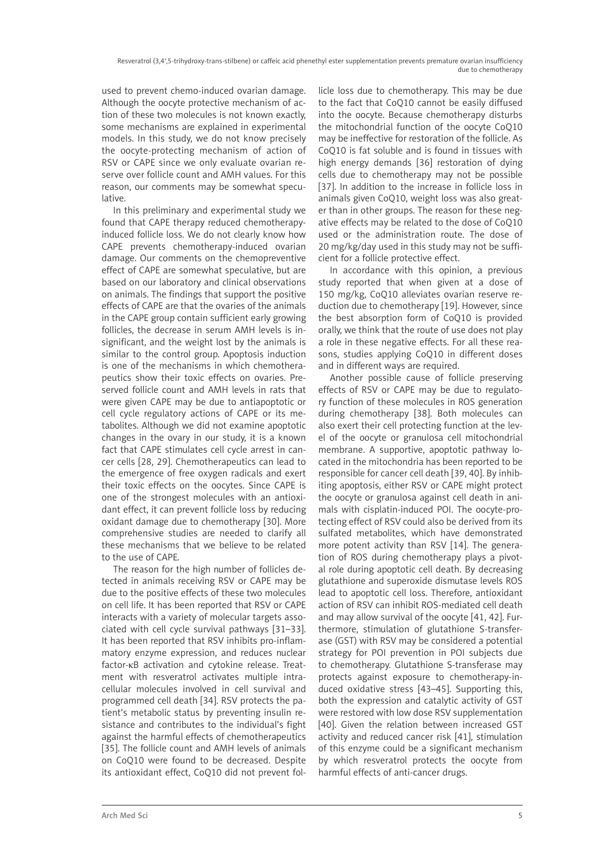used to prevent chemo-induced ovarian damage. Although the oocyte protective mechanism of action of these two molecules is not known exactly, some mechanisms are explained in experimental models. In this study, we do not know precisely the oocyte-protecting mechanism of action of RSV or CAPE since we only evaluate ovarian reserve over follicle count and AMH values. For this reason, our comments may be somewhat speculative.

In this preliminary and experimental study we found that CAPE therapy reduced chemotherapyinduced follicle loss. We do not clearly know how CAPE prevents chemotherapy-induced ovarian damage. Our comments on the chemopreventive effect of CAPE are somewhat speculative, but are based on our laboratory and clinical observations on animals. The findings that support the positive effects of CAPE are that the ovaries of the animals in the CAPE group contain sufficient early growing follicles, the decrease in serum AMH levels is insignificant, and the weight lost by the animals is similar to the control group. Apoptosis induction is one of the mechanisms in which chemotherapeutics show their toxic effects on ovaries. Preserved follicle count and AMH levels in rats that were given CAPE may be due to antiapoptotic or cell cycle regulatory actions of CAPE or its metabolites. Although we did not examine apoptotic changes in the ovary in our study, it is a known fact that CAPE stimulates cell cycle arrest in cancer cells [28, 29]. Chemotherapeutics can lead to the emergence of free oxygen radicals and exert their toxic effects on the oocytes. Since CAPE is one of the strongest molecules with an antioxidant effect, it can prevent follicle loss by reducing oxidant damage due to chemotherapy [30]. More comprehensive studies are needed to clarify all these mechanisms that we believe to be related to the use of CAPE.

The reason for the high number of follicles detected in animals receiving RSV or CAPE may be due to the positive effects of these two molecules on cell life. It has been reported that RSV or CAPE interacts with a variety of molecular targets associated with cell cycle survival pathways [31–33]. It has been reported that RSV inhibits pro-inflammatory enzyme expression, and reduces nuclear factor-κB activation and cytokine release. Treatment with resveratrol activates multiple intracellular molecules involved in cell survival and programmed cell death [34]. RSV protects the patient's metabolic status by preventing insulin resistance and contributes to the individual's fight against the harmful effects of chemotherapeutics [35]. The follicle count and AMH levels of animals on CoQ10 were found to be decreased. Despite its antioxidant effect, CoQ10 did not prevent fol-

licle loss due to chemotherapy. This may be due to the fact that CoQ10 cannot be easily diffused into the oocyte. Because chemotherapy disturbs the mitochondrial function of the oocyte CoQ10 may be ineffective for restoration of the follicle. As CoQ10 is fat soluble and is found in tissues with high energy demands [36] restoration of dying cells due to chemotherapy may not be possible [37]. In addition to the increase in follicle loss in animals given CoQ10, weight loss was also greater than in other groups. The reason for these negative effects may be related to the dose of CoQ10 used or the administration route. The dose of 20 mg/kg/day used in this study may not be sufficient for a follicle protective effect.

In accordance with this opinion, a previous study reported that when given at a dose of 150 mg/kg, CoQ10 alleviates ovarian reserve reduction due to chemotherapy [19]. However, since the best absorption form of CoQ10 is provided orally, we think that the route of use does not play a role in these negative effects. For all these reasons, studies applying CoQ10 in different doses and in different ways are required.

Another possible cause of follicle preserving effects of RSV or CAPE may be due to regulatory function of these molecules in ROS generation during chemotherapy [38]. Both molecules can also exert their cell protecting function at the level of the oocyte or granulosa cell mitochondrial membrane. A supportive, apoptotic pathway located in the mitochondria has been reported to be responsible for cancer cell death [39, 40]. By inhibiting apoptosis, either RSV or CAPE might protect the oocyte or granulosa against cell death in animals with cisplatin-induced POI. The oocyte-protecting effect of RSV could also be derived from its sulfated metabolites, which have demonstrated more potent activity than RSV [14]. The generation of ROS during chemotherapy plays a pivotal role during apoptotic cell death. By decreasing glutathione and superoxide dismutase levels ROS lead to apoptotic cell loss. Therefore, antioxidant action of RSV can inhibit ROS-mediated cell death and may allow survival of the oocyte [41, 42]. Furthermore, stimulation of glutathione S-transferase (GST) with RSV may be considered a potential strategy for POI prevention in POI subjects due to chemotherapy. Glutathione S-transferase may protects against exposure to chemotherapy-induced oxidative stress [43–45]. Supporting this, both the expression and catalytic activity of GST were restored with low dose RSV supplementation [40]. Given the relation between increased GST activity and reduced cancer risk [41], stimulation of this enzyme could be a significant mechanism by which resveratrol protects the oocyte from harmful effects of anti-cancer drugs.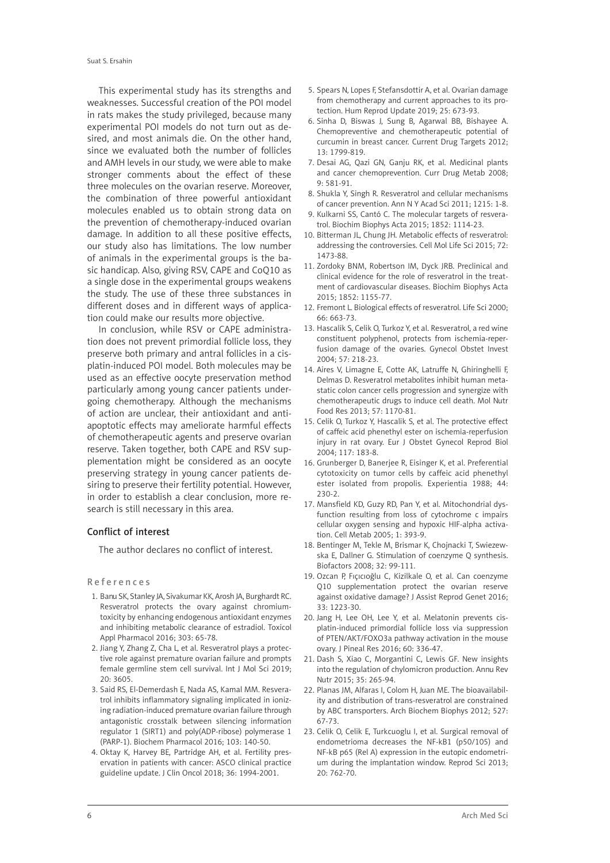This experimental study has its strengths and weaknesses. Successful creation of the POI model in rats makes the study privileged, because many experimental POI models do not turn out as desired, and most animals die. On the other hand, since we evaluated both the number of follicles and AMH levels in our study, we were able to make stronger comments about the effect of these three molecules on the ovarian reserve. Moreover, the combination of three powerful antioxidant molecules enabled us to obtain strong data on the prevention of chemotherapy-induced ovarian damage. In addition to all these positive effects, our study also has limitations. The low number of animals in the experimental groups is the basic handicap. Also, giving RSV, CAPE and CoQ10 as a single dose in the experimental groups weakens the study. The use of these three substances in different doses and in different ways of application could make our results more objective.

In conclusion, while RSV or CAPE administration does not prevent primordial follicle loss, they preserve both primary and antral follicles in a cisplatin-induced POI model. Both molecules may be used as an effective oocyte preservation method particularly among young cancer patients undergoing chemotherapy. Although the mechanisms of action are unclear, their antioxidant and antiapoptotic effects may ameliorate harmful effects of chemotherapeutic agents and preserve ovarian reserve. Taken together, both CAPE and RSV supplementation might be considered as an oocyte preserving strategy in young cancer patients desiring to preserve their fertility potential. However, in order to establish a clear conclusion, more research is still necessary in this area.

### Conflict of interest

The author declares no conflict of interest.

#### References

- 1. Banu SK, Stanley JA, Sivakumar KK, Arosh JA, Burghardt RC. Resveratrol protects the ovary against chromiumtoxicity by enhancing endogenous antioxidant enzymes and inhibiting metabolic clearance of estradiol. Toxicol Appl Pharmacol 2016; 303: 65-78.
- 2. Jiang Y, Zhang Z, Cha L, et al. Resveratrol plays a protective role against premature ovarian failure and prompts female germline stem cell survival. Int J Mol Sci 2019; 20: 3605.
- 3. Said RS, El-Demerdash E, Nada AS, Kamal MM. Resveratrol inhibits inflammatory signaling implicated in ionizing radiation-induced premature ovarian failure through antagonistic crosstalk between silencing information regulator 1 (SIRT1) and poly(ADP-ribose) polymerase 1 (PARP-1). Biochem Pharmacol 2016; 103: 140-50.
- 4. Oktay K, Harvey BE, Partridge AH, et al. Fertility preservation in patients with cancer: ASCO clinical practice guideline update. J Clin Oncol 2018; 36: 1994-2001.
- 5. Spears N, Lopes F, Stefansdottir A, et al. Ovarian damage from chemotherapy and current approaches to its protection. Hum Reprod Update 2019; 25: 673-93.
- 6. Sinha D, Biswas J, Sung B, Agarwal BB, Bishayee A. Chemopreventive and chemotherapeutic potential of curcumin in breast cancer. Current Drug Targets 2012; 13: 1799-819.
- 7. Desai AG, Qazi GN, Ganju RK, et al. Medicinal plants and cancer chemoprevention. Curr Drug Metab 2008; 9: 581-91.
- 8. Shukla Y, Singh R. Resveratrol and cellular mechanisms of cancer prevention. Ann N Y Acad Sci 2011; 1215: 1-8.
- 9. Kulkarni SS, Cantó C. The molecular targets of resveratrol. Biochim Biophys Acta 2015; 1852: 1114-23.
- 10. Bitterman JL, Chung JH. Metabolic effects of resveratrol: addressing the controversies. Cell Mol Life Sci 2015; 72: 1473-88.
- 11. Zordoky BNM, Robertson IM, Dyck JRB. Preclinical and clinical evidence for the role of resveratrol in the treatment of cardiovascular diseases. Biochim Biophys Acta 2015; 1852: 1155-77.
- 12. Fremont L. Biological effects of resveratrol. Life Sci 2000; 66: 663-73.
- 13. Hascalik S, Celik O, Turkoz Y, et al. Resveratrol, a red wine constituent polyphenol, protects from ischemia-reperfusion damage of the ovaries. Gynecol Obstet Invest 2004; 57: 218-23.
- 14. Aires V, Limagne E, Cotte AK, Latruffe N, Ghiringhelli F, Delmas D. Resveratrol metabolites inhibit human metastatic colon cancer cells progression and synergize with chemotherapeutic drugs to induce cell death. Mol Nutr Food Res 2013; 57: 1170-81.
- 15. Celik O, Turkoz Y, Hascalik S, et al. The protective effect of caffeic acid phenethyl ester on ischemia-reperfusion injury in rat ovary. Eur J Obstet Gynecol Reprod Biol 2004; 117: 183-8.
- 16. Grunberger D, Banerjee R, Eisinger K, et al. Preferential cytotoxicity on tumor cells by caffeic acid phenethyl ester isolated from propolis. Experientia 1988; 44: 230-2.
- 17. Mansfield KD, Guzy RD, Pan Y, et al. Mitochondrial dysfunction resulting from loss of cytochrome c impairs cellular oxygen sensing and hypoxic HIF-alpha activation. Cell Metab 2005; 1: 393-9.
- 18. Bentinger M, Tekle M, Brismar K, Chojnacki T, Swiezewska E, Dallner G. Stimulation of coenzyme Q synthesis. Biofactors 2008; 32: 99-111.
- 19. Ozcan P, Fıçıcıoğlu C, Kizilkale O, et al. Can coenzyme Q10 supplementation protect the ovarian reserve against oxidative damage? J Assist Reprod Genet 2016; 33: 1223-30.
- 20. Jang H, Lee OH, Lee Y, et al. Melatonin prevents cisplatin-induced primordial follicle loss via suppression of PTEN/AKT/FOXO3a pathway activation in the mouse ovary. J Pineal Res 2016; 60: 336-47.
- 21. Dash S, Xiao C, Morgantini C, Lewis GF. New insights into the regulation of chylomicron production. Annu Rev Nutr 2015; 35: 265-94.
- 22. Planas JM, Alfaras I, Colom H, Juan ME. The bioavailability and distribution of trans-resveratrol are constrained by ABC transporters. Arch Biochem Biophys 2012; 527: 67-73.
- 23. Celik O, Celik E, Turkcuoglu I, et al. Surgical removal of endometrioma decreases the NF-kB1 (p50/105) and NF-kB p65 (Rel A) expression in the eutopic endometrium during the implantation window. Reprod Sci 2013; 20: 762-70.